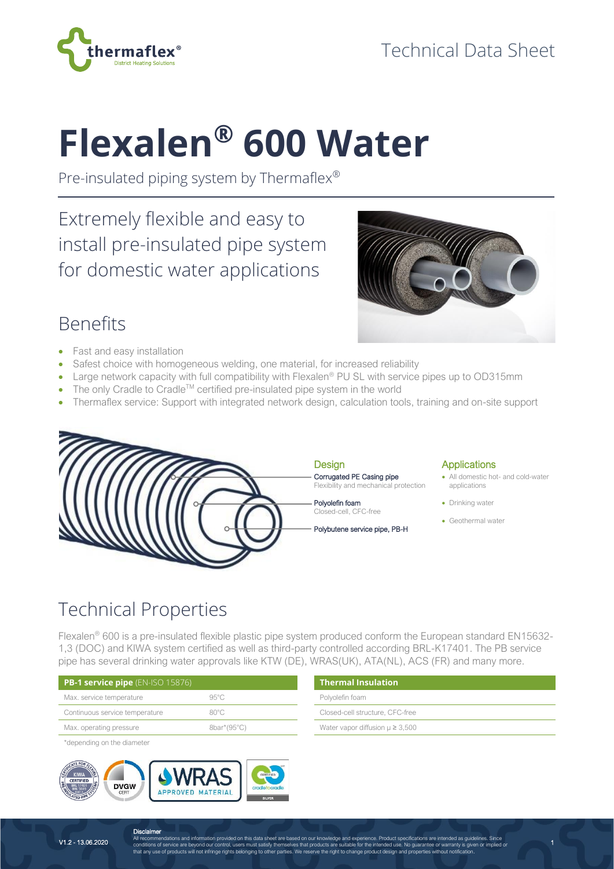

# **Flexalen® 600 Water**

Pre-insulated piping system by Thermaflex®

Extremely flexible and easy to install pre-insulated pipe system for domestic water applications



# Benefits

- Fast and easy installation
- Safest choice with homogeneous welding, one material, for increased reliability
- Large network capacity with full compatibility with Flexalen<sup>®</sup> PU SL with service pipes up to OD315mm
- The only Cradle to Cradle<sup>TM</sup> certified pre-insulated pipe system in the world
- Thermaflex service: Support with integrated network design, calculation tools, training and on-site support



# Technical Properties

Flexalen® 600 is a pre-insulated flexible plastic pipe system produced conform the European standard EN15632- 1,3 (DOC) and KIWA system certified as well as third-party controlled according BRL-K17401. The PB service pipe has several drinking water approvals like KTW (DE), WRAS(UK), ATA(NL), ACS (FR) and many more.

| <b>PB-1 service pipe</b> $(EN-ISO 15876)$ | <b>Thermal Insulation</b> |                                        |
|-------------------------------------------|---------------------------|----------------------------------------|
| Max. service temperature                  | $95^{\circ}$ C            | Polyolefin foam                        |
| Continuous service temperature            | $80^{\circ}$ C            | Closed-cell structure, CFC-free        |
| Max. operating pressure                   | $8bar*(95^{\circ}C)$      | Water vapor diffusion $\mu \geq 3,500$ |

\*depending on the diameter



| <b>Thermal Insulation</b>              |
|----------------------------------------|
| Polyolefin foam                        |
| Closed-cell structure, CFC-free        |
| Water vapor diffusion $\mu \geq 3,500$ |

1

**Disclaimer** All recommendations and information provided on this data sheet are based on our knowledge and experience. Product specifications are intended as guidelines. Since<br>conditions of service are beyond our control, users must s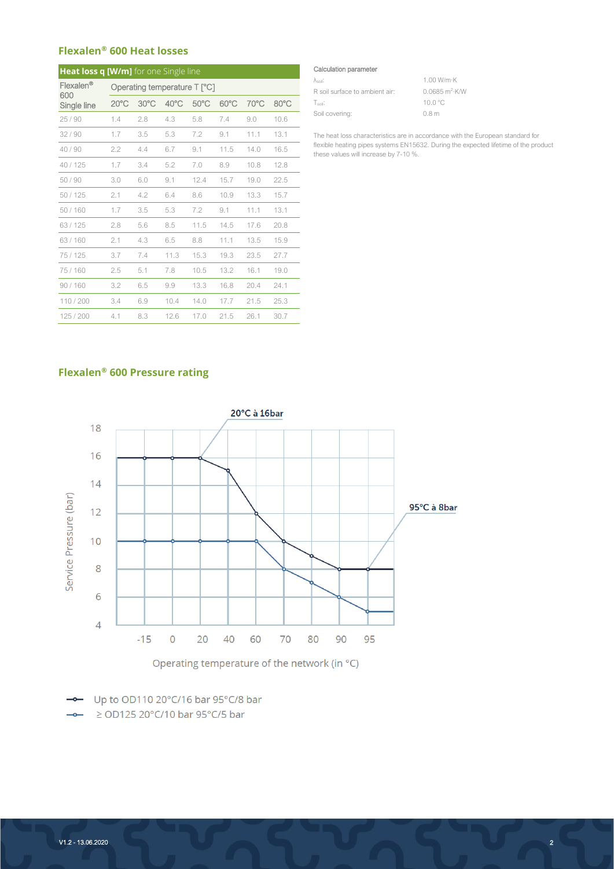### **Flexalen® 600 Heat losses**

| <b>Heat loss q [W/m]</b> for one Single line |                              |      |                |                |                |      |      |  |
|----------------------------------------------|------------------------------|------|----------------|----------------|----------------|------|------|--|
| Flexalen <sup>®</sup><br>600                 | Operating temperature T [°C] |      |                |                |                |      |      |  |
| Single line                                  | $20^{\circ}$ C               | 30°C | $40^{\circ}$ C | $50^{\circ}$ C | $60^{\circ}$ C | 70°C | 80°C |  |
| 25/90                                        | 1.4                          | 2.8  | 4.3            | 5.8            | 7.4            | 9.0  | 10.6 |  |
| 32/90                                        | 1.7                          | 3.5  | 5.3            | 7.2            | 9.1            | 11.1 | 13.1 |  |
| 40/90                                        | 2.2                          | 4.4  | 6.7            | 9.1            | 11.5           | 14.0 | 16.5 |  |
| 40 / 125                                     | 1.7                          | 3.4  | 5.2            | 7.0            | 8.9            | 10.8 | 12.8 |  |
| 50/90                                        | 3.0                          | 6.0  | 9.1            | 12.4           | 15.7           | 19.0 | 22.5 |  |
| 50/125                                       | 2.1                          | 4.2  | 6.4            | 8.6            | 10.9           | 13.3 | 15.7 |  |
| 50/160                                       | 1.7                          | 3.5  | 5.3            | 7.2            | 9.1            | 11.1 | 13.1 |  |
| 63/125                                       | 2.8                          | 5.6  | 8.5            | 11.5           | 14.5           | 17.6 | 20.8 |  |
| 63/160                                       | 2.1                          | 4.3  | 6.5            | 8.8            | 11.1           | 13.5 | 15.9 |  |
| 75/125                                       | 3.7                          | 7.4  | 11.3           | 15.3           | 19.3           | 23.5 | 27.7 |  |
| 75/160                                       | 2.5                          | 5.1  | 7.8            | 10.5           | 13.2           | 16.1 | 19.0 |  |
| 90/160                                       | 3.2                          | 6.5  | 9.9            | 13.3           | 16.8           | 20.4 | 24.1 |  |
| 110/200                                      | 3.4                          | 6.9  | 10.4           | 14.0           | 17.7           | 21.5 | 25.3 |  |
| 125/200                                      | 4.1                          | 8.3  | 12.6           | 17.0           | 21.5           | 26.1 | 30.7 |  |

#### Calculation parameter

| Àsoil.                         | 1.00 W/m·K               |
|--------------------------------|--------------------------|
| R soil surface to ambient air: | $0.0685 \text{ m}^2$ K/W |
| Tsoil:                         | $100^{\circ}$ C          |
| Soil covering:                 | 0.8 <sub>m</sub>         |

The heat loss characteristics are in accordance with the European standard for flexible heating pipes systems EN15632. During the expected lifetime of the product these values will increase by 7-10 %.

## **Flexalen® 600 Pressure rating**



Operating temperature of the network (in °C)

- Up to OD110 20°C/16 bar 95°C/8 bar  $\rightarrow$   $\ge$  OD125 20°C/10 bar 95°C/5 bar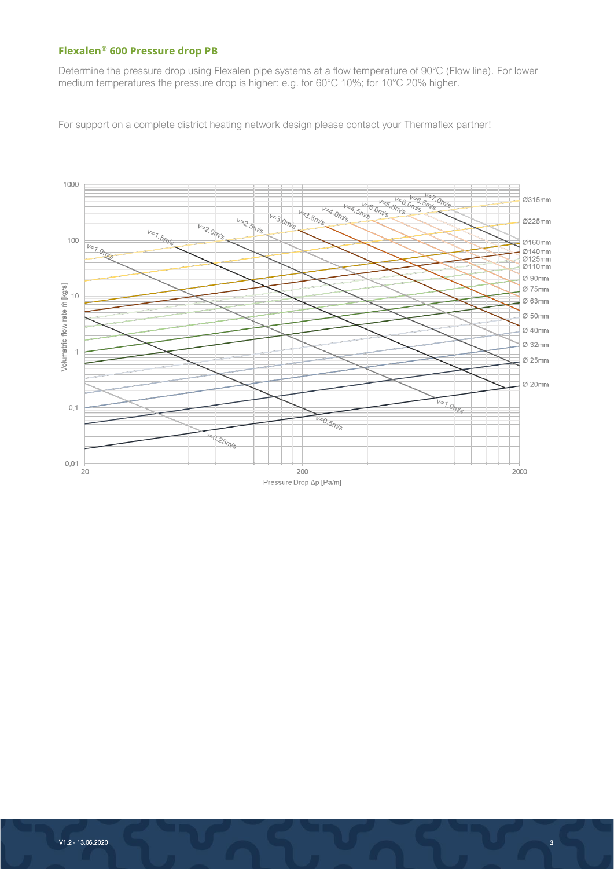### **Flexalen® 600 Pressure drop PB**

Determine the pressure drop using Flexalen pipe systems at a flow temperature of 90°C (Flow line). For lower medium temperatures the pressure drop is higher: e.g. for 60°C 10%; for 10°C 20% higher.

For support on a complete district heating network design please contact your Thermaflex partner!